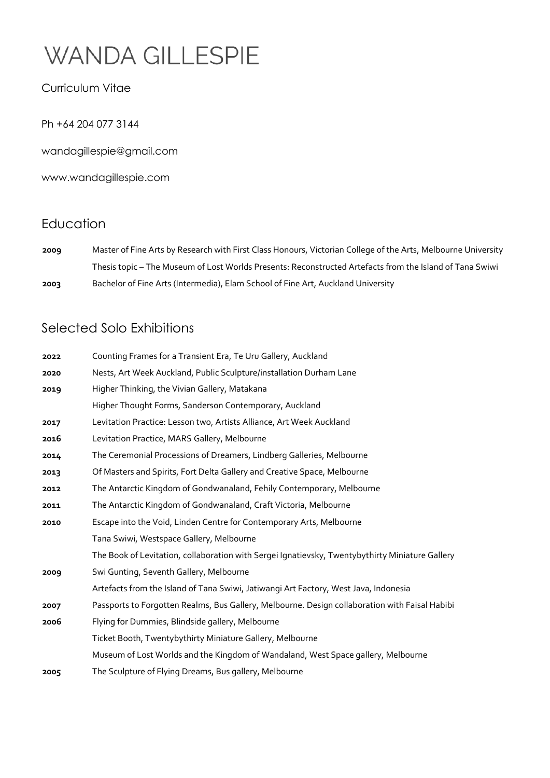#### Curriculum Vitae

Ph +64 204 077 3144

wandagillespie@gmail.com

www.wandagillespie.com

### Education

**2009** Master of Fine Arts by Research with First Class Honours, Victorian College of the Arts, Melbourne University Thesis topic – The Museum of Lost Worlds Presents: Reconstructed Artefacts from the Island of Tana Swiwi **2003** Bachelor of Fine Arts (Intermedia), Elam School of Fine Art, Auckland University

### Selected Solo Exhibitions

| 2022 | Counting Frames for a Transient Era, Te Uru Gallery, Auckland                                   |
|------|-------------------------------------------------------------------------------------------------|
| 2020 | Nests, Art Week Auckland, Public Sculpture/installation Durham Lane                             |
| 2019 | Higher Thinking, the Vivian Gallery, Matakana                                                   |
|      | Higher Thought Forms, Sanderson Contemporary, Auckland                                          |
| 2017 | Levitation Practice: Lesson two, Artists Alliance, Art Week Auckland                            |
| 2016 | Levitation Practice, MARS Gallery, Melbourne                                                    |
| 2014 | The Ceremonial Processions of Dreamers, Lindberg Galleries, Melbourne                           |
| 2013 | Of Masters and Spirits, Fort Delta Gallery and Creative Space, Melbourne                        |
| 2012 | The Antarctic Kingdom of Gondwanaland, Fehily Contemporary, Melbourne                           |
| 2011 | The Antarctic Kingdom of Gondwanaland, Craft Victoria, Melbourne                                |
| 2010 | Escape into the Void, Linden Centre for Contemporary Arts, Melbourne                            |
|      | Tana Swiwi, Westspace Gallery, Melbourne                                                        |
|      | The Book of Levitation, collaboration with Sergei Ignatievsky, Twentybythirty Miniature Gallery |
| 2009 | Swi Gunting, Seventh Gallery, Melbourne                                                         |
|      | Artefacts from the Island of Tana Swiwi, Jatiwangi Art Factory, West Java, Indonesia            |
| 2007 | Passports to Forgotten Realms, Bus Gallery, Melbourne. Design collaboration with Faisal Habibi  |
| 2006 | Flying for Dummies, Blindside gallery, Melbourne                                                |
|      | Ticket Booth, Twentybythirty Miniature Gallery, Melbourne                                       |
|      | Museum of Lost Worlds and the Kingdom of Wandaland, West Space gallery, Melbourne               |
| 2005 | The Sculpture of Flying Dreams, Bus gallery, Melbourne                                          |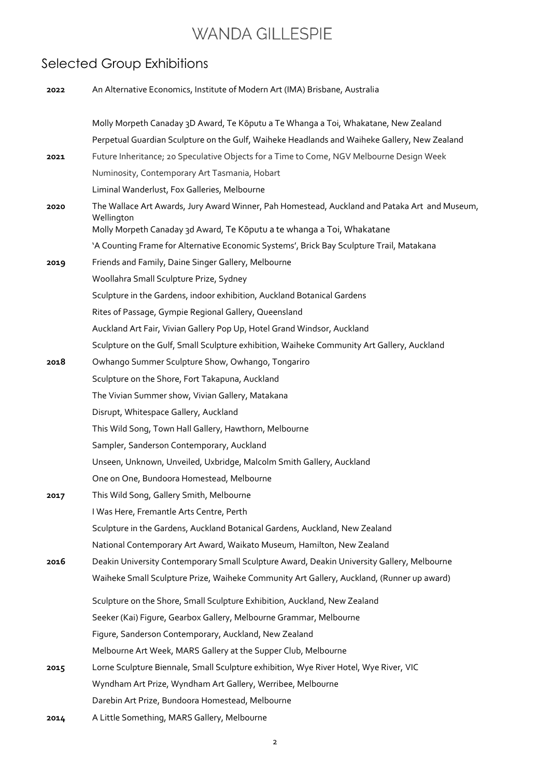### Selected Group Exhibitions

| 2022 | An Alternative Economics, Institute of Modern Art (IMA) Brisbane, Australia                                                                                                           |
|------|---------------------------------------------------------------------------------------------------------------------------------------------------------------------------------------|
|      |                                                                                                                                                                                       |
|      | Molly Morpeth Canaday 3D Award, Te Kōputu a Te Whanga a Toi, Whakatane, New Zealand                                                                                                   |
|      | Perpetual Guardian Sculpture on the Gulf, Waiheke Headlands and Waiheke Gallery, New Zealand                                                                                          |
| 2021 | Future Inheritance; 20 Speculative Objects for a Time to Come, NGV Melbourne Design Week                                                                                              |
|      | Numinosity, Contemporary Art Tasmania, Hobart                                                                                                                                         |
|      | Liminal Wanderlust, Fox Galleries, Melbourne                                                                                                                                          |
| 2020 | The Wallace Art Awards, Jury Award Winner, Pah Homestead, Auckland and Pataka Art and Museum,<br>Wellington<br>Molly Morpeth Canaday 3d Award, Te Kōputu a te whanga a Toi, Whakatane |
|      | 'A Counting Frame for Alternative Economic Systems', Brick Bay Sculpture Trail, Matakana                                                                                              |
| 2019 | Friends and Family, Daine Singer Gallery, Melbourne                                                                                                                                   |
|      | Woollahra Small Sculpture Prize, Sydney                                                                                                                                               |
|      | Sculpture in the Gardens, indoor exhibition, Auckland Botanical Gardens                                                                                                               |
|      | Rites of Passage, Gympie Regional Gallery, Queensland                                                                                                                                 |
|      | Auckland Art Fair, Vivian Gallery Pop Up, Hotel Grand Windsor, Auckland                                                                                                               |
|      | Sculpture on the Gulf, Small Sculpture exhibition, Waiheke Community Art Gallery, Auckland                                                                                            |
| 2018 | Owhango Summer Sculpture Show, Owhango, Tongariro                                                                                                                                     |
|      | Sculpture on the Shore, Fort Takapuna, Auckland                                                                                                                                       |
|      | The Vivian Summer show, Vivian Gallery, Matakana                                                                                                                                      |
|      | Disrupt, Whitespace Gallery, Auckland                                                                                                                                                 |
|      | This Wild Song, Town Hall Gallery, Hawthorn, Melbourne                                                                                                                                |
|      | Sampler, Sanderson Contemporary, Auckland                                                                                                                                             |
|      | Unseen, Unknown, Unveiled, Uxbridge, Malcolm Smith Gallery, Auckland                                                                                                                  |
|      | One on One, Bundoora Homestead, Melbourne                                                                                                                                             |
| 2017 | This Wild Song, Gallery Smith, Melbourne                                                                                                                                              |
|      | I Was Here, Fremantle Arts Centre, Perth                                                                                                                                              |
|      | Sculpture in the Gardens, Auckland Botanical Gardens, Auckland, New Zealand                                                                                                           |
|      | National Contemporary Art Award, Waikato Museum, Hamilton, New Zealand                                                                                                                |
| 2016 | Deakin University Contemporary Small Sculpture Award, Deakin University Gallery, Melbourne                                                                                            |
|      | Waiheke Small Sculpture Prize, Waiheke Community Art Gallery, Auckland, (Runner up award)                                                                                             |
|      | Sculpture on the Shore, Small Sculpture Exhibition, Auckland, New Zealand                                                                                                             |
|      | Seeker (Kai) Figure, Gearbox Gallery, Melbourne Grammar, Melbourne                                                                                                                    |
|      | Figure, Sanderson Contemporary, Auckland, New Zealand                                                                                                                                 |
|      | Melbourne Art Week, MARS Gallery at the Supper Club, Melbourne                                                                                                                        |
| 2015 | Lorne Sculpture Biennale, Small Sculpture exhibition, Wye River Hotel, Wye River, VIC                                                                                                 |
|      | Wyndham Art Prize, Wyndham Art Gallery, Werribee, Melbourne                                                                                                                           |
|      | Darebin Art Prize, Bundoora Homestead, Melbourne                                                                                                                                      |
| 2014 | A Little Something, MARS Gallery, Melbourne                                                                                                                                           |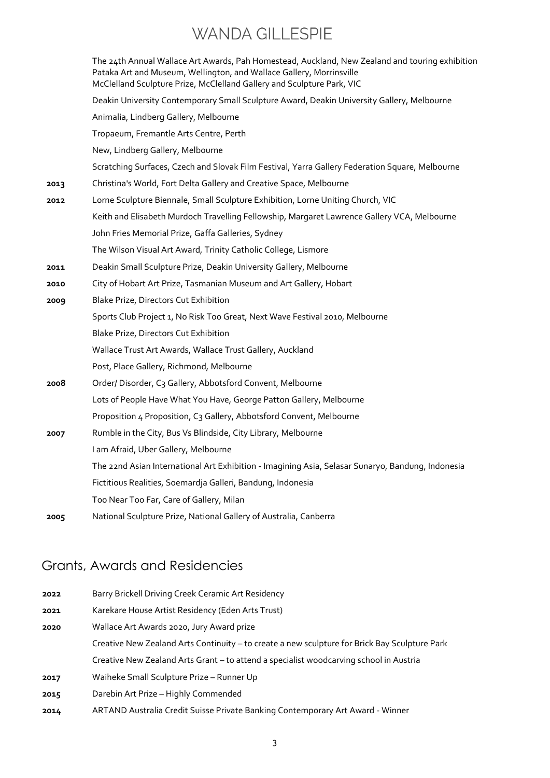|      | The 24th Annual Wallace Art Awards, Pah Homestead, Auckland, New Zealand and touring exhibition<br>Pataka Art and Museum, Wellington, and Wallace Gallery, Morrinsville<br>McClelland Sculpture Prize, McClelland Gallery and Sculpture Park, VIC |
|------|---------------------------------------------------------------------------------------------------------------------------------------------------------------------------------------------------------------------------------------------------|
|      | Deakin University Contemporary Small Sculpture Award, Deakin University Gallery, Melbourne                                                                                                                                                        |
|      | Animalia, Lindberg Gallery, Melbourne                                                                                                                                                                                                             |
|      | Tropaeum, Fremantle Arts Centre, Perth                                                                                                                                                                                                            |
|      | New, Lindberg Gallery, Melbourne                                                                                                                                                                                                                  |
|      | Scratching Surfaces, Czech and Slovak Film Festival, Yarra Gallery Federation Square, Melbourne                                                                                                                                                   |
| 2013 | Christina's World, Fort Delta Gallery and Creative Space, Melbourne                                                                                                                                                                               |
| 2012 | Lorne Sculpture Biennale, Small Sculpture Exhibition, Lorne Uniting Church, VIC                                                                                                                                                                   |
|      | Keith and Elisabeth Murdoch Travelling Fellowship, Margaret Lawrence Gallery VCA, Melbourne                                                                                                                                                       |
|      | John Fries Memorial Prize, Gaffa Galleries, Sydney                                                                                                                                                                                                |
|      | The Wilson Visual Art Award, Trinity Catholic College, Lismore                                                                                                                                                                                    |
| 2011 | Deakin Small Sculpture Prize, Deakin University Gallery, Melbourne                                                                                                                                                                                |
| 2010 | City of Hobart Art Prize, Tasmanian Museum and Art Gallery, Hobart                                                                                                                                                                                |
| 2009 | Blake Prize, Directors Cut Exhibition                                                                                                                                                                                                             |
|      | Sports Club Project 1, No Risk Too Great, Next Wave Festival 2010, Melbourne                                                                                                                                                                      |
|      | Blake Prize, Directors Cut Exhibition                                                                                                                                                                                                             |
|      | Wallace Trust Art Awards, Wallace Trust Gallery, Auckland                                                                                                                                                                                         |
|      | Post, Place Gallery, Richmond, Melbourne                                                                                                                                                                                                          |
| 2008 | Order/Disorder, C3 Gallery, Abbotsford Convent, Melbourne                                                                                                                                                                                         |
|      | Lots of People Have What You Have, George Patton Gallery, Melbourne                                                                                                                                                                               |
|      | Proposition 4 Proposition, C3 Gallery, Abbotsford Convent, Melbourne                                                                                                                                                                              |
| 2007 | Rumble in the City, Bus Vs Blindside, City Library, Melbourne                                                                                                                                                                                     |
|      | I am Afraid, Uber Gallery, Melbourne                                                                                                                                                                                                              |
|      | The 22nd Asian International Art Exhibition - Imagining Asia, Selasar Sunaryo, Bandung, Indonesia                                                                                                                                                 |
|      | Fictitious Realities, Soemardja Galleri, Bandung, Indonesia                                                                                                                                                                                       |
|      | Too Near Too Far, Care of Gallery, Milan                                                                                                                                                                                                          |
| 2005 | National Sculpture Prize, National Gallery of Australia, Canberra                                                                                                                                                                                 |
|      |                                                                                                                                                                                                                                                   |

### Grants, Awards and Residencies

- **2022** Barry Brickell Driving Creek Ceramic Art Residency
- **2021** Karekare House Artist Residency (Eden Arts Trust)
- **2020** Wallace Art Awards 2020, Jury Award prize
	- Creative New Zealand Arts Continuity to create a new sculpture for Brick Bay Sculpture Park Creative New Zealand Arts Grant – to attend a specialist woodcarving school in Austria
- **2017** Waiheke Small Sculpture Prize Runner Up
- **2015** Darebin Art Prize Highly Commended
- **2014** ARTAND Australia Credit Suisse Private Banking Contemporary Art Award Winner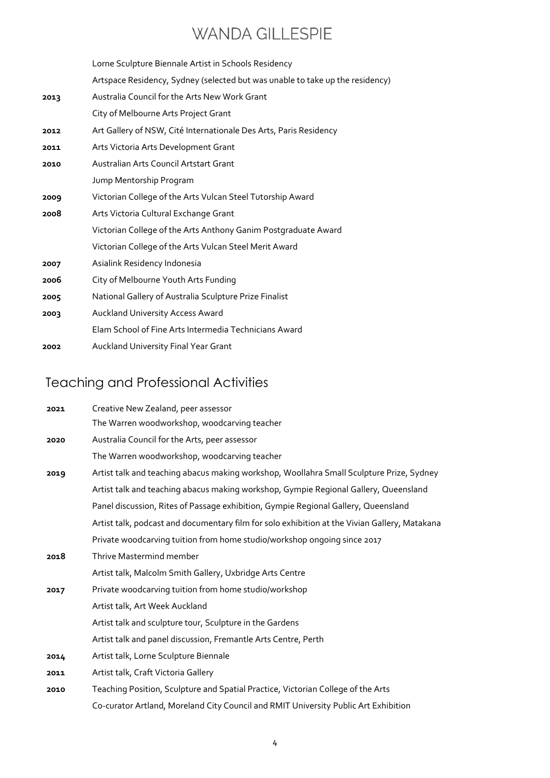|      | Lorne Sculpture Biennale Artist in Schools Residency                          |
|------|-------------------------------------------------------------------------------|
|      | Artspace Residency, Sydney (selected but was unable to take up the residency) |
| 2013 | Australia Council for the Arts New Work Grant                                 |
|      | City of Melbourne Arts Project Grant                                          |
| 2012 | Art Gallery of NSW, Cité Internationale Des Arts, Paris Residency             |
| 2011 | Arts Victoria Arts Development Grant                                          |
| 2010 | Australian Arts Council Artstart Grant                                        |
|      | Jump Mentorship Program                                                       |
| 2009 | Victorian College of the Arts Vulcan Steel Tutorship Award                    |
| 2008 | Arts Victoria Cultural Exchange Grant                                         |
|      | Victorian College of the Arts Anthony Ganim Postgraduate Award                |
|      | Victorian College of the Arts Vulcan Steel Merit Award                        |
| 2007 | Asialink Residency Indonesia                                                  |
| 2006 | City of Melbourne Youth Arts Funding                                          |
| 2005 | National Gallery of Australia Sculpture Prize Finalist                        |
| 2003 | Auckland University Access Award                                              |
|      | Elam School of Fine Arts Intermedia Technicians Award                         |
| 2002 | Auckland University Final Year Grant                                          |

# Teaching and Professional Activities

| 2021 | Creative New Zealand, peer assessor                                                           |
|------|-----------------------------------------------------------------------------------------------|
|      | The Warren woodworkshop, woodcarving teacher                                                  |
| 2020 | Australia Council for the Arts, peer assessor                                                 |
|      | The Warren woodworkshop, woodcarving teacher                                                  |
| 2019 | Artist talk and teaching abacus making workshop, Woollahra Small Sculpture Prize, Sydney      |
|      | Artist talk and teaching abacus making workshop, Gympie Regional Gallery, Queensland          |
|      | Panel discussion, Rites of Passage exhibition, Gympie Regional Gallery, Queensland            |
|      | Artist talk, podcast and documentary film for solo exhibition at the Vivian Gallery, Matakana |
|      | Private woodcarving tuition from home studio/workshop ongoing since 2017                      |
| 2018 | Thrive Mastermind member                                                                      |
|      | Artist talk, Malcolm Smith Gallery, Uxbridge Arts Centre                                      |
| 2017 | Private woodcarving tuition from home studio/workshop                                         |
|      | Artist talk, Art Week Auckland                                                                |
|      | Artist talk and sculpture tour, Sculpture in the Gardens                                      |
|      | Artist talk and panel discussion, Fremantle Arts Centre, Perth                                |
| 2014 | Artist talk, Lorne Sculpture Biennale                                                         |
| 2011 | Artist talk, Craft Victoria Gallery                                                           |
| 2010 | Teaching Position, Sculpture and Spatial Practice, Victorian College of the Arts              |
|      | Co-curator Artland, Moreland City Council and RMIT University Public Art Exhibition           |
|      |                                                                                               |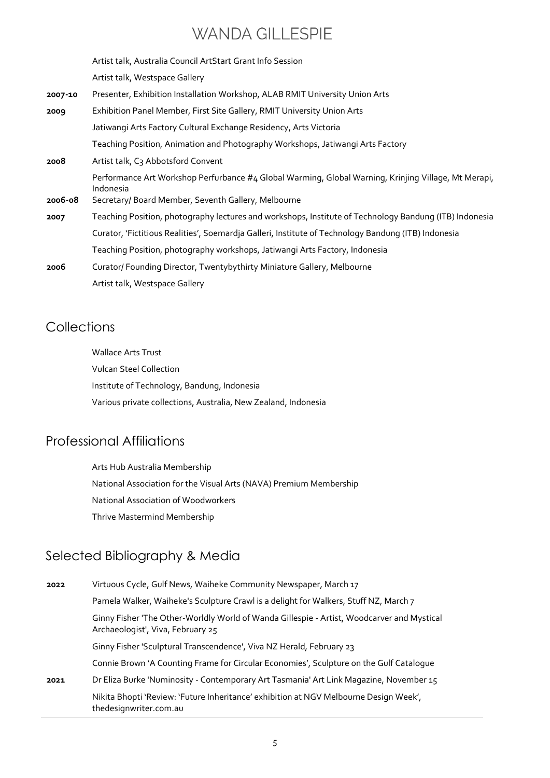Artist talk, Australia Council ArtStart Grant Info Session Artist talk, Westspace Gallery **2007-10** Presenter, Exhibition Installation Workshop, ALAB RMIT University Union Arts **2009** Exhibition Panel Member, First Site Gallery, RMIT University Union Arts Jatiwangi Arts Factory Cultural Exchange Residency, Arts Victoria Teaching Position, Animation and Photography Workshops, Jatiwangi Arts Factory **2008** Artist talk, C3 Abbotsford Convent Performance Art Workshop Perfurbance #4 Global Warming, Global Warning, Krinjing Village, Mt Merapi, Indonesia **2006-08** Secretary/ Board Member, Seventh Gallery, Melbourne **2007** Teaching Position, photography lectures and workshops, Institute of Technology Bandung (ITB) Indonesia Curator, 'Fictitious Realities', Soemardja Galleri, Institute of Technology Bandung (ITB) Indonesia Teaching Position, photography workshops, Jatiwangi Arts Factory, Indonesia **2006** Curator/ Founding Director, Twentybythirty Miniature Gallery, Melbourne

#### **Collections**

Wallace Arts Trust Vulcan Steel Collection Institute of Technology, Bandung, Indonesia Various private collections, Australia, New Zealand, Indonesia

#### Professional Affiliations

Arts Hub Australia Membership National Association for the Visual Arts (NAVA) Premium Membership National Association of Woodworkers Thrive Mastermind Membership

### Selected Bibliography & Media

Artist talk, Westspace Gallery

| 2022 | Virtuous Cycle, Gulf News, Waiheke Community Newspaper, March 17                                                                |
|------|---------------------------------------------------------------------------------------------------------------------------------|
|      | Pamela Walker, Waiheke's Sculpture Crawl is a delight for Walkers, Stuff NZ, March 7                                            |
|      | Ginny Fisher 'The Other-Worldly World of Wanda Gillespie - Artist, Woodcarver and Mystical<br>Archaeologist', Viva, February 25 |
|      | Ginny Fisher 'Sculptural Transcendence', Viva NZ Herald, February 23                                                            |
|      | Connie Brown 'A Counting Frame for Circular Economies', Sculpture on the Gulf Catalogue                                         |
| 2021 | Dr Eliza Burke 'Numinosity - Contemporary Art Tasmania' Art Link Magazine, November 15                                          |
|      | Nikita Bhopti 'Review: 'Future Inheritance' exhibition at NGV Melbourne Design Week',<br>thedesignwriter.com.au                 |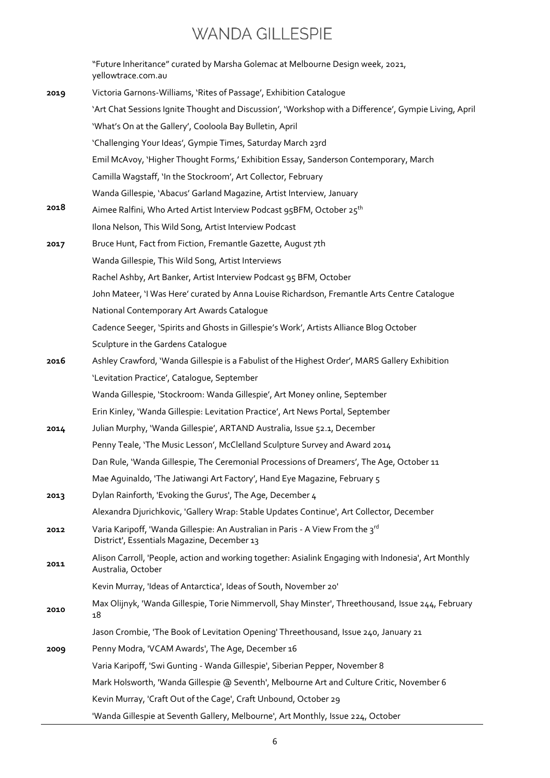|      | "Future Inheritance" curated by Marsha Golemac at Melbourne Design week, 2021,<br>yellowtrace.com.au                          |
|------|-------------------------------------------------------------------------------------------------------------------------------|
| 2019 | Victoria Garnons-Williams, 'Rites of Passage', Exhibition Catalogue                                                           |
|      | 'Art Chat Sessions Ignite Thought and Discussion', 'Workshop with a Difference', Gympie Living, April                         |
|      | 'What's On at the Gallery', Cooloola Bay Bulletin, April                                                                      |
|      | 'Challenging Your Ideas', Gympie Times, Saturday March 23rd                                                                   |
|      | Emil McAvoy, 'Higher Thought Forms,' Exhibition Essay, Sanderson Contemporary, March                                          |
|      | Camilla Wagstaff, 'In the Stockroom', Art Collector, February                                                                 |
|      | Wanda Gillespie, 'Abacus' Garland Magazine, Artist Interview, January                                                         |
| 2018 | Aimee Ralfini, Who Arted Artist Interview Podcast 95BFM, October 25 <sup>th</sup>                                             |
|      | Ilona Nelson, This Wild Song, Artist Interview Podcast                                                                        |
| 2017 | Bruce Hunt, Fact from Fiction, Fremantle Gazette, August 7th                                                                  |
|      | Wanda Gillespie, This Wild Song, Artist Interviews                                                                            |
|      | Rachel Ashby, Art Banker, Artist Interview Podcast 95 BFM, October                                                            |
|      | John Mateer, 'I Was Here' curated by Anna Louise Richardson, Fremantle Arts Centre Catalogue                                  |
|      | National Contemporary Art Awards Catalogue                                                                                    |
|      | Cadence Seeger, 'Spirits and Ghosts in Gillespie's Work', Artists Alliance Blog October                                       |
|      | Sculpture in the Gardens Catalogue                                                                                            |
| 2016 | Ashley Crawford, 'Wanda Gillespie is a Fabulist of the Highest Order', MARS Gallery Exhibition                                |
|      | 'Levitation Practice', Catalogue, September                                                                                   |
|      | Wanda Gillespie, 'Stockroom: Wanda Gillespie', Art Money online, September                                                    |
|      | Erin Kinley, 'Wanda Gillespie: Levitation Practice', Art News Portal, September                                               |
| 2014 | Julian Murphy, 'Wanda Gillespie', ARTAND Australia, Issue 52.1, December                                                      |
|      | Penny Teale, 'The Music Lesson', McClelland Sculpture Survey and Award 2014                                                   |
|      | Dan Rule, 'Wanda Gillespie, The Ceremonial Processions of Dreamers', The Age, October 11                                      |
|      | Mae Aguinaldo, 'The Jatiwangi Art Factory', Hand Eye Magazine, February 5                                                     |
| 2013 | Dylan Rainforth, 'Evoking the Gurus', The Age, December 4                                                                     |
|      | Alexandra Djurichkovic, 'Gallery Wrap: Stable Updates Continue', Art Collector, December                                      |
| 2012 | Varia Karipoff, 'Wanda Gillespie: An Australian in Paris - A View From the 3rd<br>District', Essentials Magazine, December 13 |
| 2011 | Alison Carroll, 'People, action and working together: Asialink Engaging with Indonesia', Art Monthly<br>Australia, October    |
|      | Kevin Murray, 'Ideas of Antarctica', Ideas of South, November 20'                                                             |
| 2010 | Max Olijnyk, 'Wanda Gillespie, Torie Nimmervoll, Shay Minster', Threethousand, Issue 244, February<br>18                      |
|      | Jason Crombie, 'The Book of Levitation Opening' Threethousand, Issue 240, January 21                                          |
| 2009 | Penny Modra, 'VCAM Awards', The Age, December 16                                                                              |
|      | Varia Karipoff, 'Swi Gunting - Wanda Gillespie', Siberian Pepper, November 8                                                  |
|      | Mark Holsworth, 'Wanda Gillespie @ Seventh', Melbourne Art and Culture Critic, November 6                                     |
|      | Kevin Murray, 'Craft Out of the Cage', Craft Unbound, October 29                                                              |
|      | 'Wanda Gillespie at Seventh Gallery, Melbourne', Art Monthly, Issue 224, October                                              |